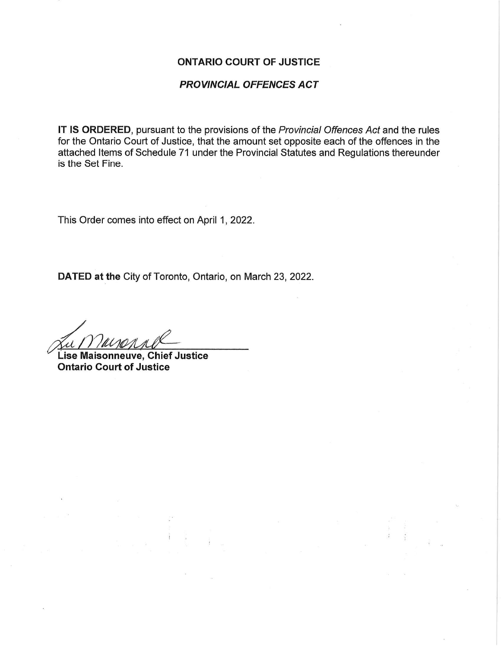## ONTARIO COURT OF JUSTICE

## PROVINCIAL OFFENCES ACT

IT IS ORDERED, pursuant to the provisions of the Provincial Offences Act and the rules for the Ontario Court of Justice, that the amount set opposite each of the offences in the attached Items of Schedule 71 under the Provincial Statutes and Regulations thereunder is the Set Fine.

This Order comes into effect on April 1, 2022.

DATED at the City of Toronto, Ontario, on March 23, 2022.

 $\frac{1}{\sqrt{\mu\nu}}$ 

Lise Maisonneuve, Chief Justice Ontario Court of Justice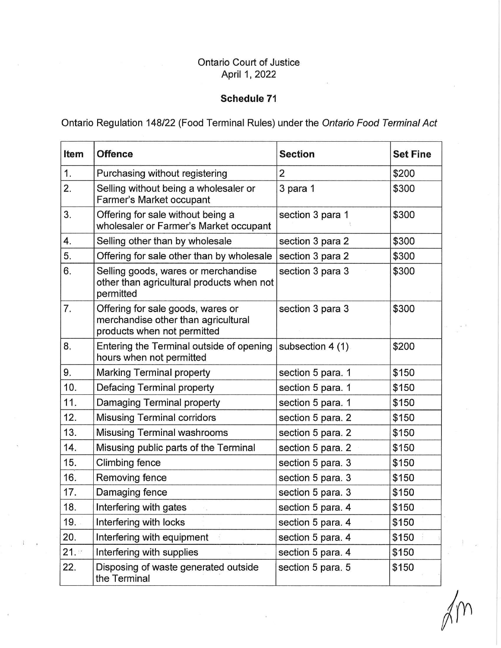## **Ontario Court of Justice** April 1, 2022

## Schedule 71

Ontario Regulation 148/22 (Food Terminal Rules) under the Ontario Food Terminal Act

| Item | <b>Offence</b>                                                                                          | <b>Section</b>    | <b>Set Fine</b> |
|------|---------------------------------------------------------------------------------------------------------|-------------------|-----------------|
| 1.   | Purchasing without registering                                                                          | 2                 | \$200           |
| 2.   | Selling without being a wholesaler or<br>Farmer's Market occupant                                       | 3 para 1          | \$300           |
| 3.   | Offering for sale without being a<br>wholesaler or Farmer's Market occupant                             | section 3 para 1  | \$300           |
| 4.   | Selling other than by wholesale                                                                         | section 3 para 2  | \$300           |
| 5.   | Offering for sale other than by wholesale                                                               | section 3 para 2  | \$300           |
| 6.   | Selling goods, wares or merchandise<br>other than agricultural products when not<br>permitted           | section 3 para 3  | \$300           |
| 7.   | Offering for sale goods, wares or<br>merchandise other than agricultural<br>products when not permitted | section 3 para 3  | \$300           |
| 8.   | Entering the Terminal outside of opening<br>hours when not permitted                                    | subsection 4 (1)  | \$200           |
| 9.   | <b>Marking Terminal property</b>                                                                        | section 5 para. 1 | \$150           |
| 10.  | Defacing Terminal property                                                                              | section 5 para. 1 | \$150           |
| 11.  | Damaging Terminal property                                                                              | section 5 para. 1 | \$150           |
| 12.  | <b>Misusing Terminal corridors</b>                                                                      | section 5 para. 2 | \$150           |
| 13.  | <b>Misusing Terminal washrooms</b>                                                                      | section 5 para. 2 | \$150           |
| 14.  | Misusing public parts of the Terminal                                                                   | section 5 para. 2 | \$150           |
| 15.  | Climbing fence                                                                                          | section 5 para. 3 | \$150           |
| 16.  | Removing fence                                                                                          | section 5 para. 3 | \$150           |
| 17.  | Damaging fence                                                                                          | section 5 para. 3 | \$150           |
| 18.  | Interfering with gates                                                                                  | section 5 para. 4 | \$150           |
| 19.  | Interfering with locks                                                                                  | section 5 para. 4 | \$150           |
| 20.  | Interfering with equipment                                                                              | section 5 para. 4 | \$150           |
| 21.  | Interfering with supplies                                                                               | section 5 para. 4 | \$150           |
| 22.  | Disposing of waste generated outside<br>the Terminal                                                    | section 5 para. 5 | \$150           |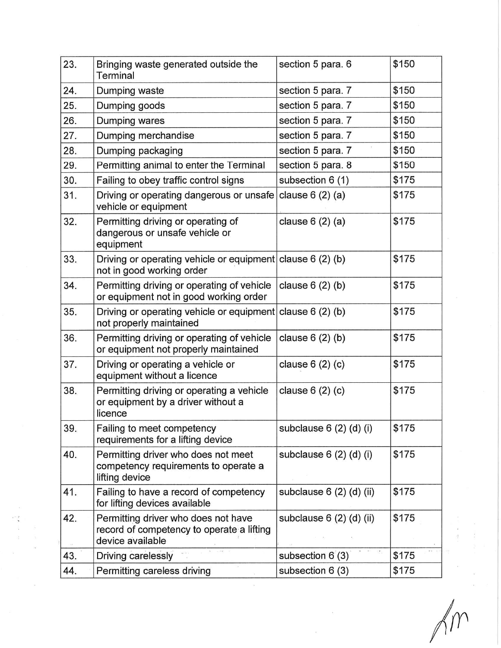| 23. | Bringing waste generated outside the<br>Terminal                                                     | section 5 para. 6        | \$150 |
|-----|------------------------------------------------------------------------------------------------------|--------------------------|-------|
| 24. | Dumping waste                                                                                        | section 5 para. 7        | \$150 |
| 25. | Dumping goods                                                                                        | section 5 para. 7        | \$150 |
| 26. | Dumping wares                                                                                        | section 5 para. 7        | \$150 |
| 27. | Dumping merchandise                                                                                  | section 5 para. 7        | \$150 |
| 28. | Dumping packaging                                                                                    | section 5 para. 7        | \$150 |
| 29. | Permitting animal to enter the Terminal                                                              | section 5 para. 8        | \$150 |
| 30. | Failing to obey traffic control signs                                                                | subsection 6 (1)         | \$175 |
| 31. | Driving or operating dangerous or unsafe<br>vehicle or equipment                                     | clause $6(2)(a)$         | \$175 |
| 32. | Permitting driving or operating of<br>dangerous or unsafe vehicle or<br>equipment                    | clause $6(2)(a)$         | \$175 |
| 33. | Driving or operating vehicle or equipment clause $6(2)(b)$<br>not in good working order              |                          | \$175 |
| 34. | Permitting driving or operating of vehicle<br>or equipment not in good working order                 | clause $6(2)(b)$         | \$175 |
| 35. | Driving or operating vehicle or equipment<br>not properly maintained                                 | clause $6(2)(b)$         | \$175 |
| 36. | Permitting driving or operating of vehicle<br>or equipment not properly maintained                   | clause $6(2)(b)$         | \$175 |
| 37. | Driving or operating a vehicle or<br>equipment without a licence                                     | clause $6(2)(c)$         | \$175 |
| 38. | Permitting driving or operating a vehicle<br>or equipment by a driver without a<br>licence           | clause $6(2)(c)$         | \$175 |
| 39. | Failing to meet competency<br>requirements for a lifting device                                      | subclause 6 (2) (d) (i)  | \$175 |
| 40. | Permitting driver who does not meet<br>competency requirements to operate a<br>lifting device        | subclause 6 (2) (d) (i)  | \$175 |
| 41. | Failing to have a record of competency<br>for lifting devices available                              | subclause 6 (2) (d) (ii) | \$175 |
| 42. | Permitting driver who does not have<br>record of competency to operate a lifting<br>device available | subclause 6 (2) (d) (ii) | \$175 |
| 43. | Driving carelessly                                                                                   | subsection $6(3)$        | \$175 |
| 44. | Permitting careless driving                                                                          | subsection 6 (3)         | \$175 |

 $\alpha$ 

 $\tilde{V}$ 

 $\gamma$